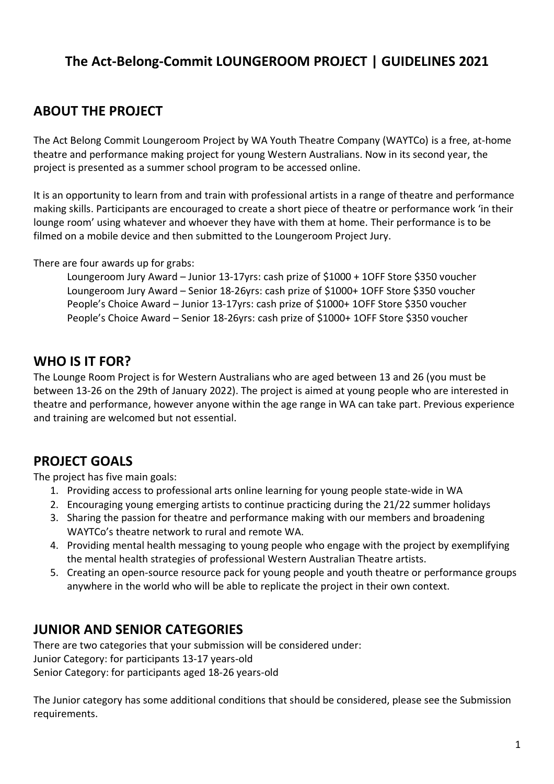# **The Act-Belong-Commit LOUNGEROOM PROJECT | GUIDELINES 2021**

# **ABOUT THE PROJECT**

The Act Belong Commit Loungeroom Project by WA Youth Theatre Company (WAYTCo) is a free, at-home theatre and performance making project for young Western Australians. Now in its second year, the project is presented as a summer school program to be accessed online.

It is an opportunity to learn from and train with professional artists in a range of theatre and performance making skills. Participants are encouraged to create a short piece of theatre or performance work 'in their lounge room' using whatever and whoever they have with them at home. Their performance is to be filmed on a mobile device and then submitted to the Loungeroom Project Jury.

There are four awards up for grabs:

Loungeroom Jury Award – Junior 13-17yrs: cash prize of \$1000 + 1OFF Store \$350 voucher Loungeroom Jury Award – Senior 18-26yrs: cash prize of \$1000+ 1OFF Store \$350 voucher People's Choice Award – Junior 13-17yrs: cash prize of \$1000+ 1OFF Store \$350 voucher People's Choice Award – Senior 18-26yrs: cash prize of \$1000+ 1OFF Store \$350 voucher

## **WHO IS IT FOR?**

The Lounge Room Project is for Western Australians who are aged between 13 and 26 (you must be between 13-26 on the 29th of January 2022). The project is aimed at young people who are interested in theatre and performance, however anyone within the age range in WA can take part. Previous experience and training are welcomed but not essential.

## **PROJECT GOALS**

The project has five main goals:

- 1. Providing access to professional arts online learning for young people state-wide in WA
- 2. Encouraging young emerging artists to continue practicing during the 21/22 summer holidays
- 3. Sharing the passion for theatre and performance making with our members and broadening WAYTCo's theatre network to rural and remote WA.
- 4. Providing mental health messaging to young people who engage with the project by exemplifying the mental health strategies of professional Western Australian Theatre artists.
- 5. Creating an open-source resource pack for young people and youth theatre or performance groups anywhere in the world who will be able to replicate the project in their own context.

## **JUNIOR AND SENIOR CATEGORIES**

There are two categories that your submission will be considered under: Junior Category: for participants 13-17 years-old Senior Category: for participants aged 18-26 years-old

The Junior category has some additional conditions that should be considered, please see the Submission requirements.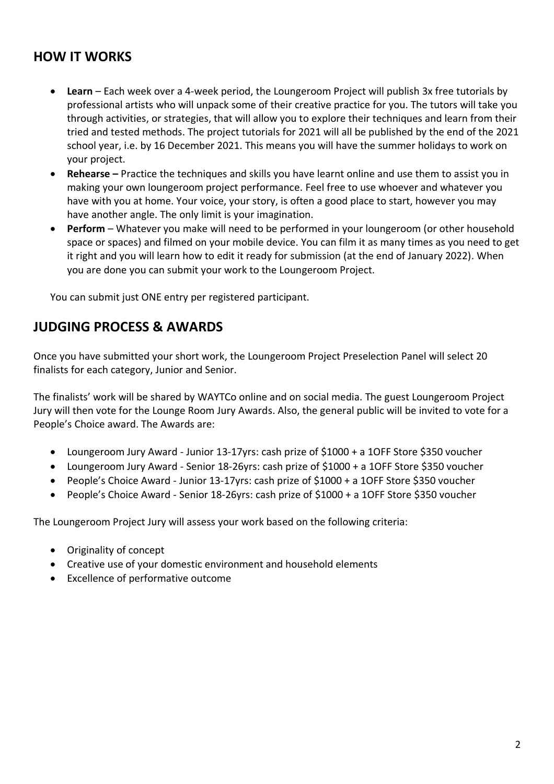## **HOW IT WORKS**

- **Learn** Each week over a 4-week period, the Loungeroom Project will publish 3x free tutorials by professional artists who will unpack some of their creative practice for you. The tutors will take you through activities, or strategies, that will allow you to explore their techniques and learn from their tried and tested methods. The project tutorials for 2021 will all be published by the end of the 2021 school year, i.e. by 16 December 2021. This means you will have the summer holidays to work on your project.
- **Rehearse –** Practice the techniques and skills you have learnt online and use them to assist you in making your own loungeroom project performance. Feel free to use whoever and whatever you have with you at home. Your voice, your story, is often a good place to start, however you may have another angle. The only limit is your imagination.
- **Perform**  Whatever you make will need to be performed in your loungeroom (or other household space or spaces) and filmed on your mobile device. You can film it as many times as you need to get it right and you will learn how to edit it ready for submission (at the end of January 2022). When you are done you can submit your work to the Loungeroom Project.

You can submit just ONE entry per registered participant.

## **JUDGING PROCESS & AWARDS**

Once you have submitted your short work, the Loungeroom Project Preselection Panel will select 20 finalists for each category, Junior and Senior.

The finalists' work will be shared by WAYTCo online and on social media. The guest Loungeroom Project Jury will then vote for the Lounge Room Jury Awards. Also, the general public will be invited to vote for a People's Choice award. The Awards are:

- Loungeroom Jury Award Junior 13-17yrs: cash prize of \$1000 + a 1OFF Store \$350 voucher
- Loungeroom Jury Award Senior 18-26yrs: cash prize of \$1000 + a 1OFF Store \$350 voucher
- People's Choice Award Junior 13-17yrs: cash prize of \$1000 + a 1OFF Store \$350 voucher
- People's Choice Award Senior 18-26yrs: cash prize of \$1000 + a 1OFF Store \$350 voucher

The Loungeroom Project Jury will assess your work based on the following criteria:

- Originality of concept
- Creative use of your domestic environment and household elements
- Excellence of performative outcome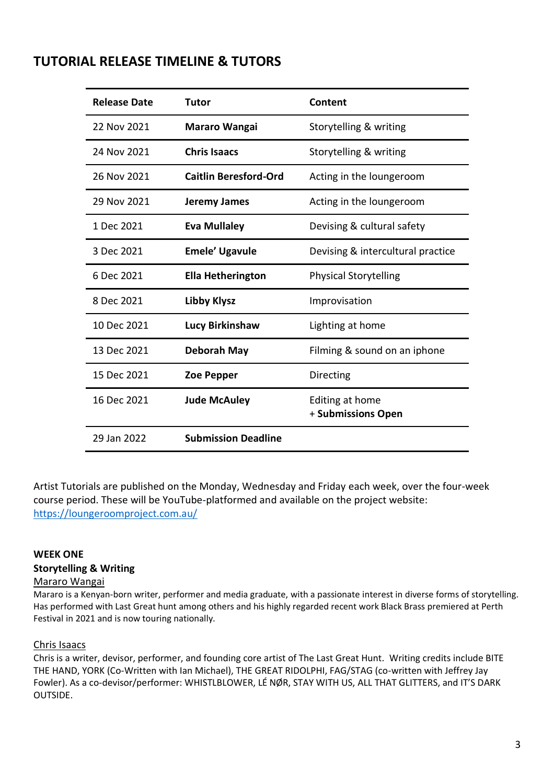## **TUTORIAL RELEASE TIMELINE & TUTORS**

| <b>Release Date</b> | Tutor                        | Content                               |
|---------------------|------------------------------|---------------------------------------|
| 22 Nov 2021         | <b>Mararo Wangai</b>         | Storytelling & writing                |
| 24 Nov 2021         | <b>Chris Isaacs</b>          | Storytelling & writing                |
| 26 Nov 2021         | <b>Caitlin Beresford-Ord</b> | Acting in the loungeroom              |
| 29 Nov 2021         | Jeremy James                 | Acting in the loungeroom              |
| 1 Dec 2021          | <b>Eva Mullaley</b>          | Devising & cultural safety            |
| 3 Dec 2021          | <b>Emele' Ugavule</b>        | Devising & intercultural practice     |
| 6 Dec 2021          | <b>Ella Hetherington</b>     | <b>Physical Storytelling</b>          |
| 8 Dec 2021          | <b>Libby Klysz</b>           | Improvisation                         |
| 10 Dec 2021         | <b>Lucy Birkinshaw</b>       | Lighting at home                      |
| 13 Dec 2021         | <b>Deborah May</b>           | Filming & sound on an iphone          |
| 15 Dec 2021         | <b>Zoe Pepper</b>            | Directing                             |
| 16 Dec 2021         | <b>Jude McAuley</b>          | Editing at home<br>+ Submissions Open |
| 29 Jan 2022         | <b>Submission Deadline</b>   |                                       |

Artist Tutorials are published on the Monday, Wednesday and Friday each week, over the four-week course period. These will be YouTube-platformed and available on the project website: <https://loungeroomproject.com.au/>

### **WEEK ONE Storytelling & Writing**

#### Mararo Wangai

Mararo is a Kenyan-born writer, performer and media graduate, with a passionate interest in diverse forms of storytelling. Has performed with Last Great hunt among others and his highly regarded recent work Black Brass premiered at Perth Festival in 2021 and is now touring nationally.

### Chris Isaacs

Chris is a writer, devisor, performer, and founding core artist of The Last Great Hunt. Writing credits include BITE THE HAND, YORK (Co-Written with Ian Michael), THE GREAT RIDOLPHI, FAG/STAG (co-written with Jeffrey Jay Fowler). As a co-devisor/performer: WHISTLBLOWER, LÉ NØR, STAY WITH US, ALL THAT GLITTERS, and IT'S DARK OUTSIDE.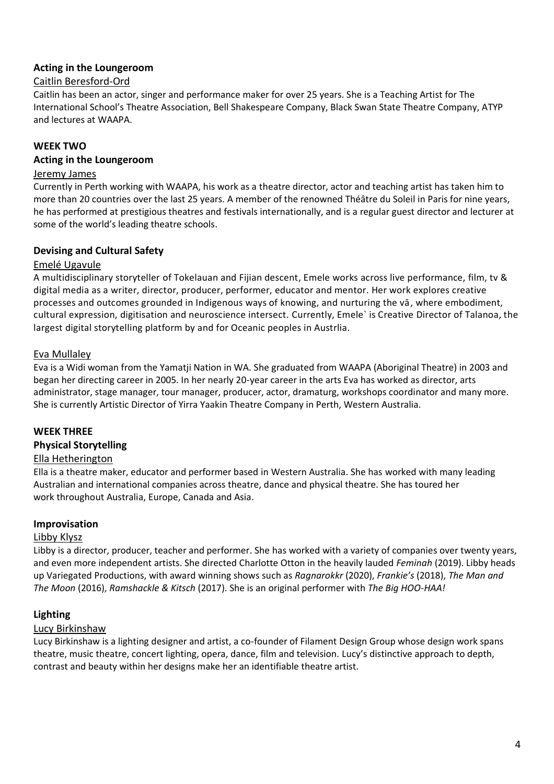#### **Acting in the Loungeroom**

#### Caitlin Beresford-Ord

Caitlin has been an actor, singer and performance maker for over 25 years. She is a Teaching Artist for The International School's Theatre Association, Bell Shakespeare Company, Black Swan State Theatre Company, ATYP and lectures at WAAPA.

### **WEEK TWO**

#### **Acting in the Loungeroom**

#### Jeremy James

Currently in Perth working with WAAPA, his work as a theatre director, actor and teaching artist has taken him to more than 20 countries over the last 25 years. A member of the renowned Théâtre du Soleil in Paris for nine years, he has performed at prestigious theatres and festivals internationally, and is a regular guest director and lecturer at some of the world's leading theatre schools.

#### **Devising and Cultural Safety**

#### Emelé Ugavule

A multidisciplinary storyteller of Tokelauan and Fijian descent, Emele works across live performance, film, tv & digital media as a writer, director, producer, performer, educator and mentor. Her work explores creative processes and outcomes grounded in Indigenous ways of knowing, and nurturing the vā, where embodiment, cultural expression, digitisation and neuroscience intersect. Currently, Emele` is Creative Director of Talanoa, the largest digital storytelling platform by and for Oceanic peoples in Austrlia.

#### Eva Mullaley

Eva is a Widi woman from the Yamatji Nation in WA. She graduated from WAAPA (Aboriginal Theatre) in 2003 and began her directing career in 2005. In her nearly 20-year career in the arts Eva has worked as director, arts administrator, stage manager, tour manager, producer, actor, dramaturg, workshops coordinator and many more. She is currently Artistic Director of Yirra Yaakin Theatre Company in Perth, Western Australia.

#### **WEEK THREE**

#### **Physical Storytelling**

#### Ella Hetherington

Ella is a theatre maker, educator and performer based in Western Australia. She has worked with many leading Australian and international companies across theatre, dance and physical theatre. She has toured her work throughout Australia, Europe, Canada and Asia.

#### **Improvisation**

#### Libby Klysz

Libby is a director, producer, teacher and performer. She has worked with a variety of companies over twenty years, and even more independent artists. She directed Charlotte Otton in the heavily lauded *Feminah* (2019). Libby heads up Variegated Productions, with award winning shows such as *Ragnarokkr* (2020), *Frankie's* (2018), *The Man and The Moon* (2016), *Ramshackle & Kitsch* (2017). She is an original performer with *The Big HOO-HAA!*

#### **Lighting**

#### Lucy Birkinshaw

Lucy Birkinshaw is a lighting designer and artist, a co-founder of Filament Design Group whose design work spans theatre, music theatre, concert lighting, opera, dance, film and television. Lucy's distinctive approach to depth, contrast and beauty within her designs make her an identifiable theatre artist.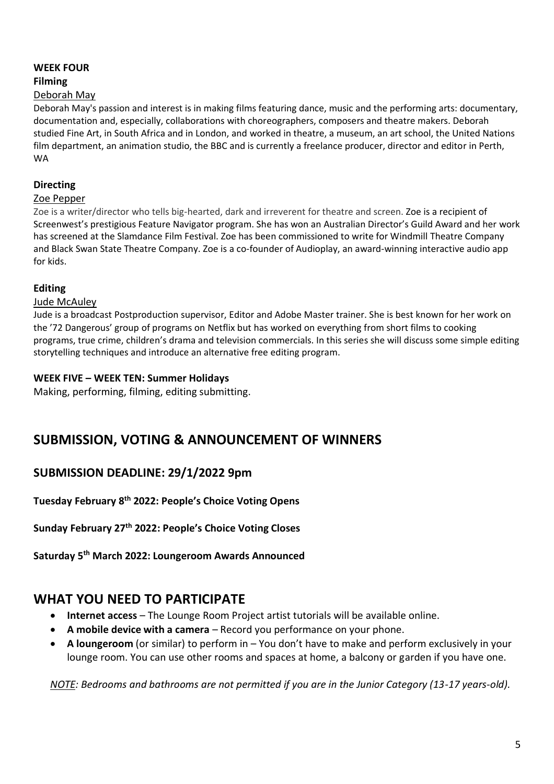### **WEEK FOUR**

#### **Filming**

### Deborah May

Deborah May's passion and interest is in making films featuring dance, music and the performing arts: documentary, documentation and, especially, collaborations with choreographers, composers and theatre makers. Deborah studied Fine Art, in South Africa and in London, and worked in theatre, a museum, an art school, the United Nations film department, an animation studio, the BBC and is currently a freelance producer, director and editor in Perth, WA

### **Directing**

#### Zoe Pepper

Zoe is a writer/director who tells big-hearted, dark and irreverent for theatre and screen. Zoe is a recipient of Screenwest's prestigious Feature Navigator program. She has won an Australian Director's Guild Award and her work has screened at the Slamdance Film Festival. Zoe has been commissioned to write for Windmill Theatre Company and Black Swan State Theatre Company. Zoe is a co-founder of Audioplay, an award-winning interactive audio app for kids.

### **Editing**

#### Jude McAuley

Jude is a broadcast Postproduction supervisor, Editor and Adobe Master trainer. She is best known for her work on the '72 Dangerous' group of programs on Netflix but has worked on everything from short films to cooking programs, true crime, children's drama and television commercials. In this series she will discuss some simple editing storytelling techniques and introduce an alternative free editing program.

### **WEEK FIVE – WEEK TEN: Summer Holidays**

Making, performing, filming, editing submitting.

# **SUBMISSION, VOTING & ANNOUNCEMENT OF WINNERS**

### **SUBMISSION DEADLINE: 29/1/2022 9pm**

**Tuesday February 8th 2022: People's Choice Voting Opens**

**Sunday February 27th 2022: People's Choice Voting Closes**

**Saturday 5th March 2022: Loungeroom Awards Announced**

## **WHAT YOU NEED TO PARTICIPATE**

- **Internet access** The Lounge Room Project artist tutorials will be available online.
- **A mobile device with a camera** Record you performance on your phone.
- **A loungeroom** (or similar) to perform in You don't have to make and perform exclusively in your lounge room. You can use other rooms and spaces at home, a balcony or garden if you have one.

*NOTE: Bedrooms and bathrooms are not permitted if you are in the Junior Category (13-17 years-old).*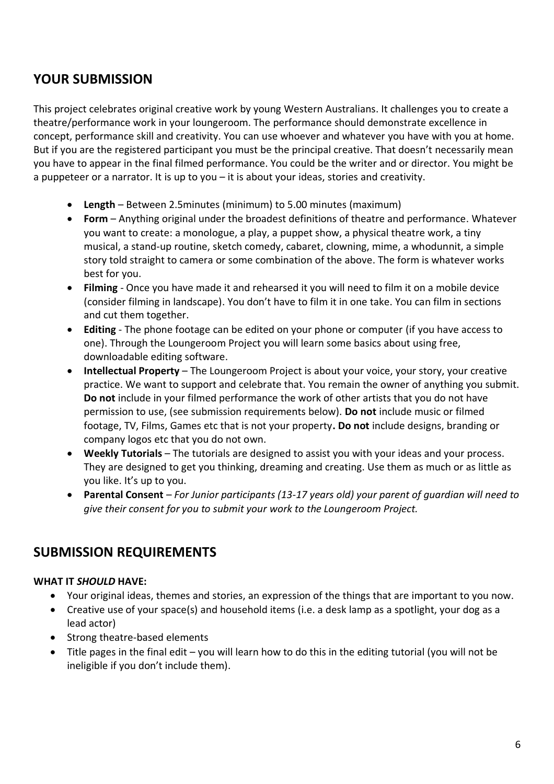## **YOUR SUBMISSION**

This project celebrates original creative work by young Western Australians. It challenges you to create a theatre/performance work in your loungeroom. The performance should demonstrate excellence in concept, performance skill and creativity. You can use whoever and whatever you have with you at home. But if you are the registered participant you must be the principal creative. That doesn't necessarily mean you have to appear in the final filmed performance. You could be the writer and or director. You might be a puppeteer or a narrator. It is up to you – it is about your ideas, stories and creativity.

- **Length** Between 2.5minutes (minimum) to 5.00 minutes (maximum)
- **Form** Anything original under the broadest definitions of theatre and performance. Whatever you want to create: a monologue, a play, a puppet show, a physical theatre work, a tiny musical, a stand-up routine, sketch comedy, cabaret, clowning, mime, a whodunnit, a simple story told straight to camera or some combination of the above. The form is whatever works best for you.
- **Filming**  Once you have made it and rehearsed it you will need to film it on a mobile device (consider filming in landscape). You don't have to film it in one take. You can film in sections and cut them together.
- **Editing**  The phone footage can be edited on your phone or computer (if you have access to one). Through the Loungeroom Project you will learn some basics about using free, downloadable editing software.
- **Intellectual Property** The Loungeroom Project is about your voice, your story, your creative practice. We want to support and celebrate that. You remain the owner of anything you submit. **Do not** include in your filmed performance the work of other artists that you do not have permission to use, (see submission requirements below). **Do not** include music or filmed footage, TV, Films, Games etc that is not your property**. Do not** include designs, branding or company logos etc that you do not own.
- **Weekly Tutorials** The tutorials are designed to assist you with your ideas and your process. They are designed to get you thinking, dreaming and creating. Use them as much or as little as you like. It's up to you.
- **Parental Consent**  *For Junior participants (13-17 years old) your parent of guardian will need to give their consent for you to submit your work to the Loungeroom Project.*

## **SUBMISSION REQUIREMENTS**

### **WHAT IT** *SHOULD* **HAVE:**

- Your original ideas, themes and stories, an expression of the things that are important to you now.
- Creative use of your space(s) and household items (i.e. a desk lamp as a spotlight, your dog as a lead actor)
- Strong theatre-based elements
- Title pages in the final edit you will learn how to do this in the editing tutorial (you will not be ineligible if you don't include them).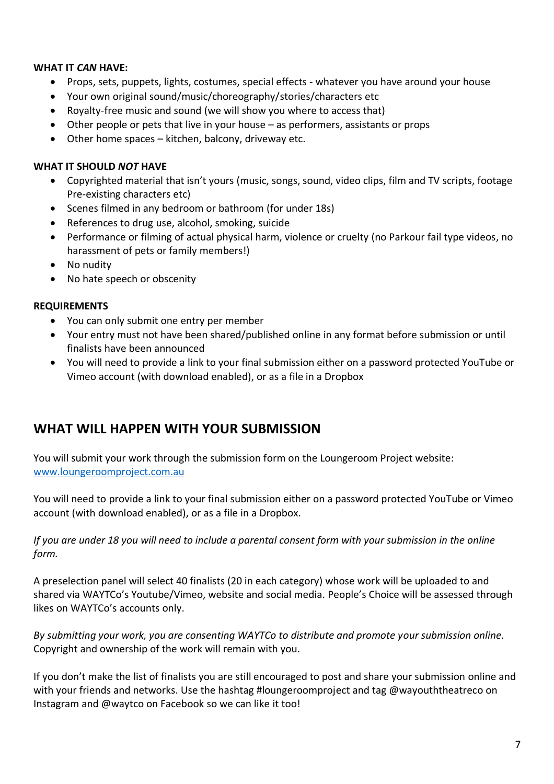### **WHAT IT** *CAN* **HAVE:**

- Props, sets, puppets, lights, costumes, special effects whatever you have around your house
- Your own original sound/music/choreography/stories/characters etc
- Royalty-free music and sound (we will show you where to access that)
- Other people or pets that live in your house as performers, assistants or props
- Other home spaces kitchen, balcony, driveway etc.

### **WHAT IT SHOULD** *NOT* **HAVE**

- Copyrighted material that isn't yours (music, songs, sound, video clips, film and TV scripts, footage Pre-existing characters etc)
- Scenes filmed in any bedroom or bathroom (for under 18s)
- References to drug use, alcohol, smoking, suicide
- Performance or filming of actual physical harm, violence or cruelty (no Parkour fail type videos, no harassment of pets or family members!)
- No nudity
- No hate speech or obscenity

#### **REQUIREMENTS**

- You can only submit one entry per member
- Your entry must not have been shared/published online in any format before submission or until finalists have been announced
- You will need to provide a link to your final submission either on a password protected YouTube or Vimeo account (with download enabled), or as a file in a Dropbox

## **WHAT WILL HAPPEN WITH YOUR SUBMISSION**

You will submit your work through the submission form on the Loungeroom Project website: [www.loungeroomproject.com.au](http://www.loungeroomproject.com.au/)

You will need to provide a link to your final submission either on a password protected YouTube or Vimeo account (with download enabled), or as a file in a Dropbox.

*If you are under 18 you will need to include a parental consent form with your submission in the online form.* 

A preselection panel will select 40 finalists (20 in each category) whose work will be uploaded to and shared via WAYTCo's Youtube/Vimeo, website and social media. People's Choice will be assessed through likes on WAYTCo's accounts only.

*By submitting your work, you are consenting WAYTCo to distribute and promote your submission online.* Copyright and ownership of the work will remain with you.

If you don't make the list of finalists you are still encouraged to post and share your submission online and with your friends and networks. Use the hashtag #loungeroomproject and tag @wayouththeatreco on Instagram and @waytco on Facebook so we can like it too!